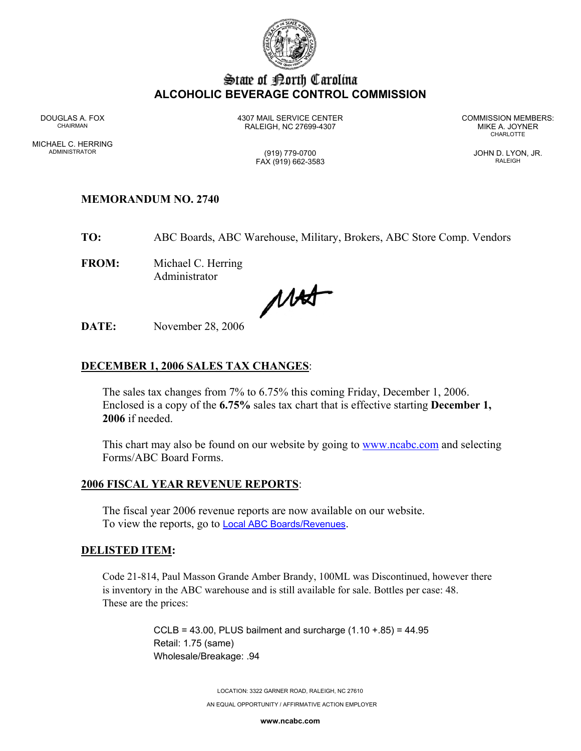

# State of Borth Carolina **ALCOHOLIC BEVERAGE CONTROL COMMISSION**

MICHAEL C. HERRING ADMINISTRATOR (919) 779-0700 JOHN D. LYON, JR.

DOUGLAS A. FOX 4307 MAIL SERVICE CENTER COMMISSION MEMBERS: CHAIRMAN RALEIGH, NC 27699-4307 MIKE A. JOYNER

**CHARLOTTE** 

FAX (919) 662-3583 RALEIGH

# **MEMORANDUM NO. 2740**

**TO:** ABC Boards, ABC Warehouse, Military, Brokers, ABC Store Comp. Vendors

**FROM:** Michael C. Herring Administrator

Mat

**DATE:** November 28, 2006

# **DECEMBER 1, 2006 SALES TAX CHANGES**:

The sales tax changes from 7% to 6.75% this coming Friday, December 1, 2006. Enclosed is a copy of the **6.75%** sales tax chart that is effective starting **December 1, 2006** if needed.

This chart may also be found on our website by going to **www.ncabc.com** and selecting Forms/ABC Board Forms.

#### **2006 FISCAL YEAR REVENUE REPORTS**:

The fiscal year 2006 revenue reports are now available on our website. To view the reports, go to **Local ABC Boards/Revenues**.

#### **DELISTED ITEM:**

Code 21-814, Paul Masson Grande Amber Brandy, 100ML was Discontinued, however there is inventory in the ABC warehouse and is still available for sale. Bottles per case: 48. These are the prices:

> CCLB = 43.00, PLUS bailment and surcharge  $(1.10 + .85) = 44.95$ Retail: 1.75 (same) Wholesale/Breakage: .94

> > LOCATION: 3322 GARNER ROAD, RALEIGH, NC 27610

AN EQUAL OPPORTUNITY / AFFIRMATIVE ACTION EMPLOYER

**www.ncabc.com**